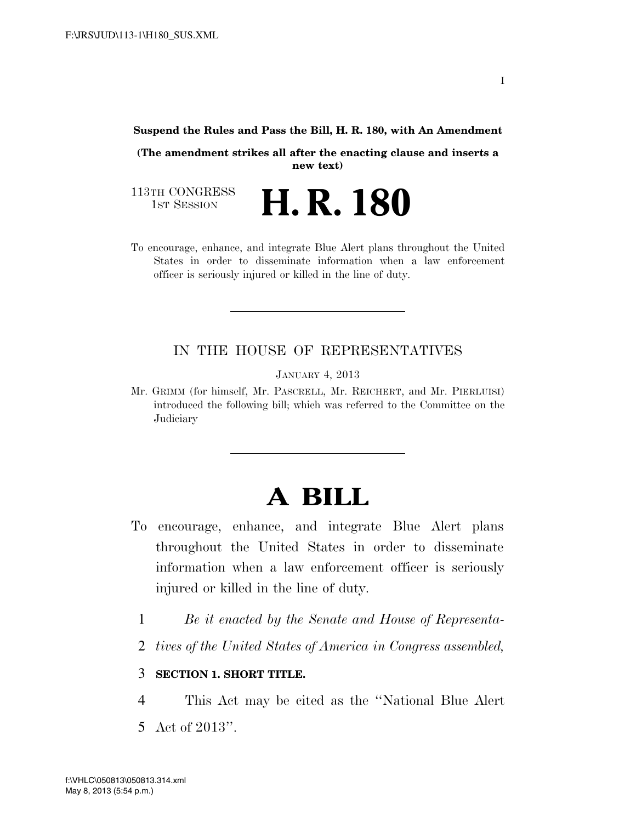#### **Suspend the Rules and Pass the Bill, H. R. 180, with An Amendment**

**(The amendment strikes all after the enacting clause and inserts a new text)** 

113TH CONGRESS<br>1st Session

- **H. R. 180**
- To encourage, enhance, and integrate Blue Alert plans throughout the United States in order to disseminate information when a law enforcement officer is seriously injured or killed in the line of duty.

## IN THE HOUSE OF REPRESENTATIVES

JANUARY 4, 2013

Mr. GRIMM (for himself, Mr. PASCRELL, Mr. REICHERT, and Mr. PIERLUISI) introduced the following bill; which was referred to the Committee on the **Judiciary** 

# **A BILL**

- To encourage, enhance, and integrate Blue Alert plans throughout the United States in order to disseminate information when a law enforcement officer is seriously injured or killed in the line of duty.
	- 1 *Be it enacted by the Senate and House of Representa-*
	- 2 *tives of the United States of America in Congress assembled,*

## 3 **SECTION 1. SHORT TITLE.**

4 This Act may be cited as the ''National Blue Alert 5 Act of 2013''.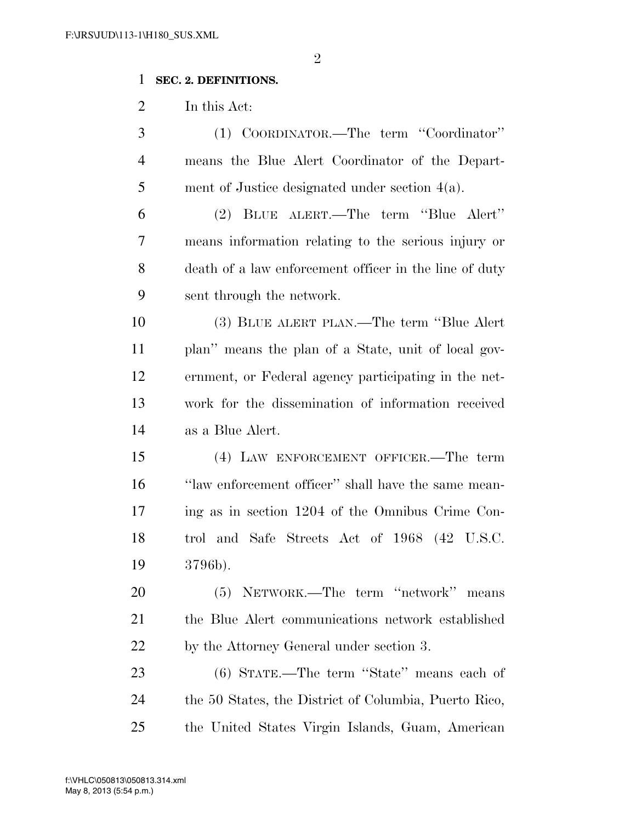# **SEC. 2. DEFINITIONS.**

In this Act:

| 3              | (1) COORDINATOR.—The term "Coordinator"                |
|----------------|--------------------------------------------------------|
| $\overline{4}$ | means the Blue Alert Coordinator of the Depart-        |
| 5              | ment of Justice designated under section $4(a)$ .      |
| 6              | (2) BLUE ALERT.—The term "Blue Alert"                  |
| 7              | means information relating to the serious injury or    |
| 8              | death of a law enforcement officer in the line of duty |
| 9              | sent through the network.                              |
| 10             | (3) BLUE ALERT PLAN.—The term "Blue Alert              |
| 11             | plan" means the plan of a State, unit of local gov-    |
| 12             | ernment, or Federal agency participating in the net-   |
| 13             | work for the dissemination of information received     |
| 14             | as a Blue Alert.                                       |
| 15             | (4) LAW ENFORCEMENT OFFICER.—The term                  |
| 16             | "law enforcement officer" shall have the same mean-    |
| 17             | ing as in section 1204 of the Omnibus Crime Con-       |
| 18             | trol and Safe Streets Act of 1968 (42 U.S.C.           |
| 19             | 3796b).                                                |
| 20             | (5) NETWORK.—The term "network" means                  |
| 21             | the Blue Alert communications network established      |
| <u>22</u>      | by the Attorney General under section 3.               |
| 23             | (6) STATE.—The term "State" means each of              |
| 24             | the 50 States, the District of Columbia, Puerto Rico,  |
| 25             | the United States Virgin Islands, Guam, American       |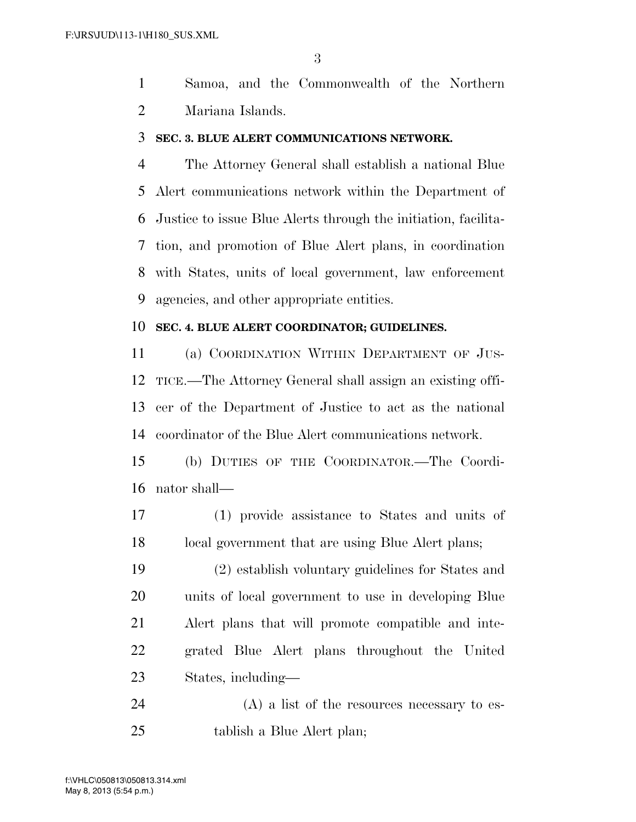Samoa, and the Commonwealth of the Northern Mariana Islands.

#### **SEC. 3. BLUE ALERT COMMUNICATIONS NETWORK.**

 The Attorney General shall establish a national Blue Alert communications network within the Department of Justice to issue Blue Alerts through the initiation, facilita- tion, and promotion of Blue Alert plans, in coordination with States, units of local government, law enforcement agencies, and other appropriate entities.

#### **SEC. 4. BLUE ALERT COORDINATOR; GUIDELINES.**

 (a) COORDINATION WITHIN DEPARTMENT OF JUS- TICE.—The Attorney General shall assign an existing offi- cer of the Department of Justice to act as the national coordinator of the Blue Alert communications network.

 (b) DUTIES OF THE COORDINATOR.—The Coordi-nator shall—

 (1) provide assistance to States and units of 18 local government that are using Blue Alert plans;

 (2) establish voluntary guidelines for States and units of local government to use in developing Blue Alert plans that will promote compatible and inte- grated Blue Alert plans throughout the United States, including—

 (A) a list of the resources necessary to es-tablish a Blue Alert plan;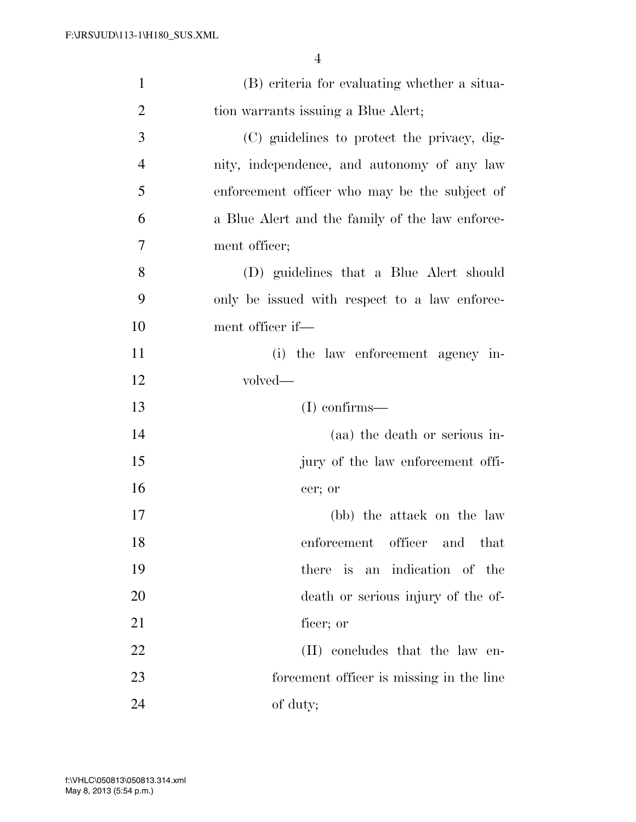| $\mathbf{1}$   | (B) criteria for evaluating whether a situa-    |
|----------------|-------------------------------------------------|
| $\overline{2}$ | tion warrants issuing a Blue Alert;             |
| 3              | (C) guidelines to protect the privacy, dig-     |
| $\overline{4}$ | nity, independence, and autonomy of any law     |
| 5              | enforcement officer who may be the subject of   |
| 6              | a Blue Alert and the family of the law enforce- |
| 7              | ment officer;                                   |
| 8              | (D) guidelines that a Blue Alert should         |
| 9              | only be issued with respect to a law enforce-   |
| 10             | ment officer if—                                |
| 11             | (i) the law enforcement agency in-              |
| 12             | volved—                                         |
| 13             | $(I)$ confirms—                                 |
| 14             | (aa) the death or serious in-                   |
| 15             | jury of the law enforcement offi-               |
| 16             | cer; or                                         |
| 17             | (bb) the attack on the law                      |
| 18             | officer and that<br>enforcement                 |
| 19             | there is an indication of the                   |
| 20             | death or serious injury of the of-              |
| 21             | ficer; or                                       |
| 22             | (II) concludes that the law en-                 |
| 23             | forcement officer is missing in the line        |
| 24             | of duty;                                        |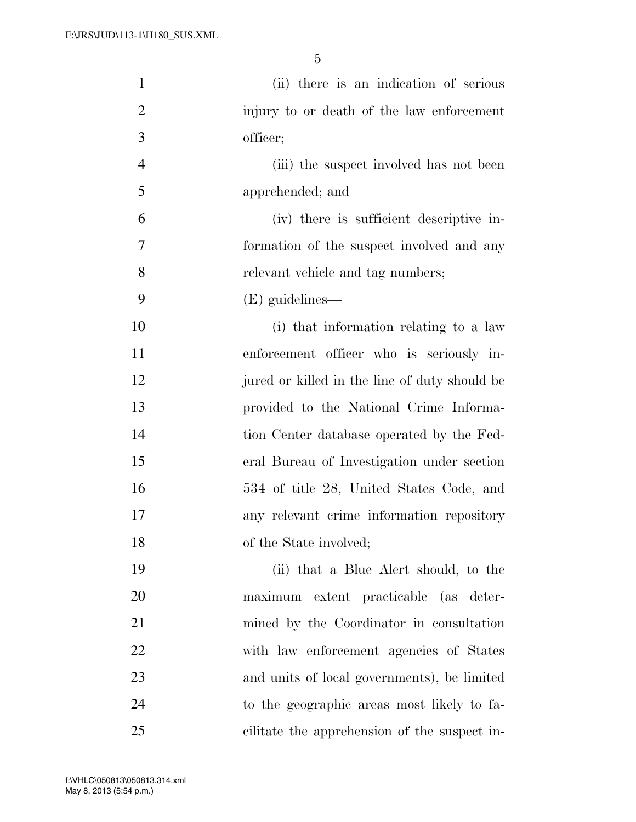| $\mathbf{1}$   | (ii) there is an indication of serious        |
|----------------|-----------------------------------------------|
| $\overline{2}$ | injury to or death of the law enforcement     |
| 3              | officer;                                      |
| $\overline{4}$ | (iii) the suspect involved has not been       |
| 5              | apprehended; and                              |
| 6              | (iv) there is sufficient descriptive in-      |
| 7              | formation of the suspect involved and any     |
| 8              | relevant vehicle and tag numbers;             |
| 9              | (E) guidelines—                               |
| 10             | (i) that information relating to a law        |
| 11             | enforcement officer who is seriously in-      |
| 12             | jured or killed in the line of duty should be |
| 13             | provided to the National Crime Informa-       |
| 14             | tion Center database operated by the Fed-     |
| 15             | eral Bureau of Investigation under section    |
| 16             | 534 of title 28, United States Code, and      |
| 17             | any relevant crime information repository     |
| 18             | of the State involved;                        |
| 19             | (ii) that a Blue Alert should, to the         |
| 20             | maximum extent practicable (as deter-         |
| 21             | mined by the Coordinator in consultation      |
| 22             | with law enforcement agencies of States       |
| 23             | and units of local governments), be limited   |
| 24             | to the geographic areas most likely to fa-    |
| 25             | cilitate the apprehension of the suspect in-  |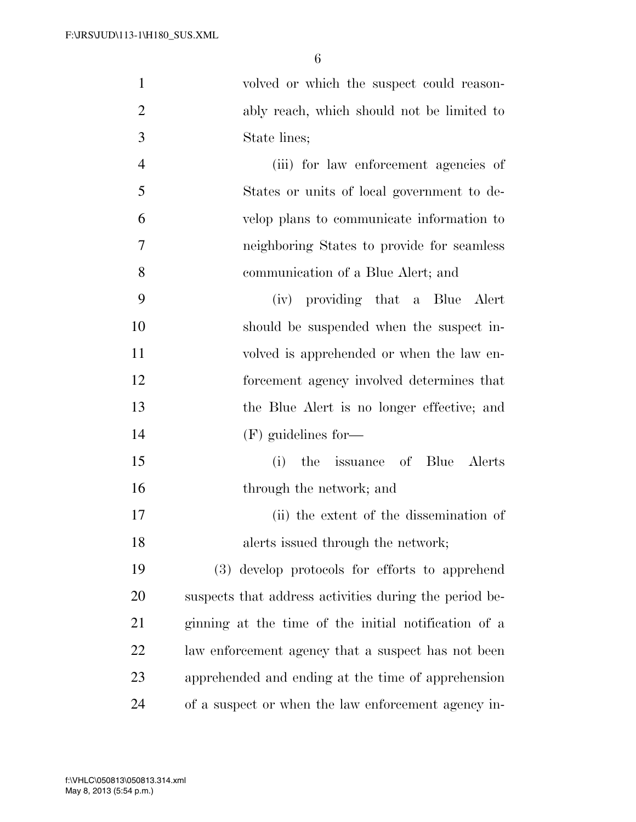volved or which the suspect could reason-

| $\overline{c}$ | ably reach, which should not be limited to             |
|----------------|--------------------------------------------------------|
| 3              | State lines;                                           |
| $\overline{4}$ | (iii) for law enforcement agencies of                  |
| 5              | States or units of local government to de-             |
| 6              | velop plans to communicate information to              |
| $\overline{7}$ | neighboring States to provide for seamless             |
| 8              | communication of a Blue Alert; and                     |
| 9              | (iv) providing that a Blue Alert                       |
| 10             | should be suspended when the suspect in-               |
| 11             | volved is apprehended or when the law en-              |
| 12             | forcement agency involved determines that              |
| 13             | the Blue Alert is no longer effective; and             |
| 14             | $(F)$ guidelines for—                                  |
| 15             | the issuance of Blue Alerts<br>(i)                     |
| 16             | through the network; and                               |
| 17             | (ii) the extent of the dissemination of                |
| 18             | alerts issued through the network;                     |
| 19             | (3) develop protocols for efforts to apprehend         |
| 20             | suspects that address activities during the period be- |
| 21             | ginning at the time of the initial notification of a   |
| 22             | law enforcement agency that a suspect has not been     |
| 23             | apprehended and ending at the time of apprehension     |
| 24             | of a suspect or when the law enforcement agency in-    |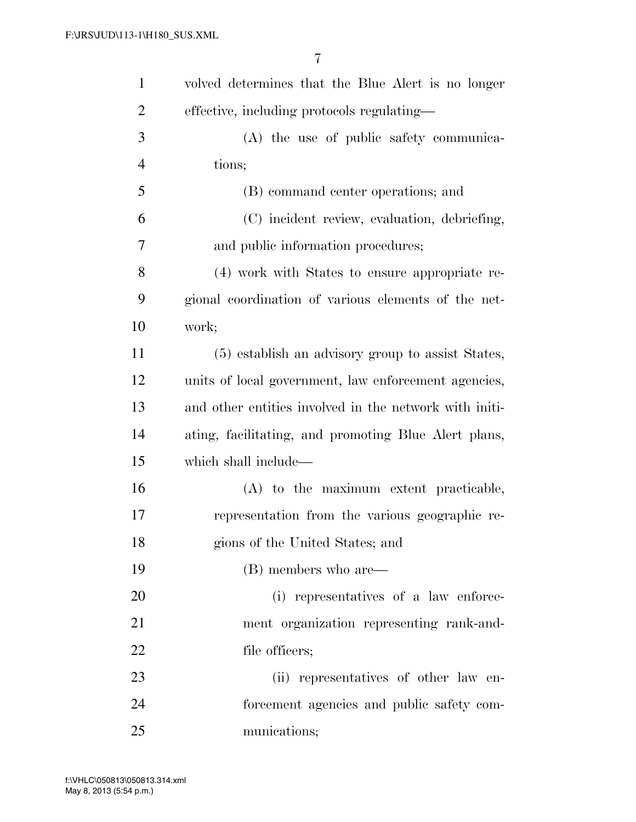| $\mathbf{1}$   | volved determines that the Blue Alert is no longer     |
|----------------|--------------------------------------------------------|
| $\overline{2}$ | effective, including protocols regulating—             |
| 3              | (A) the use of public safety communica-                |
| $\overline{4}$ | tions;                                                 |
| 5              | (B) command center operations; and                     |
| 6              | (C) incident review, evaluation, debriefing,           |
| 7              | and public information procedures;                     |
| 8              | (4) work with States to ensure appropriate re-         |
| 9              | gional coordination of various elements of the net-    |
| 10             | work;                                                  |
| 11             | (5) establish an advisory group to assist States,      |
| 12             | units of local government, law enforcement agencies,   |
| 13             | and other entities involved in the network with initi- |
| 14             | ating, facilitating, and promoting Blue Alert plans,   |
| 15             | which shall include—                                   |
| 16             | (A) to the maximum extent practicable,                 |
| 17             | representation from the various geographic re-         |
| 18             | gions of the United States; and                        |
| 19             | (B) members who are—                                   |
| 20             | (i) representatives of a law enforce-                  |
| 21             | ment organization representing rank-and-               |
| 22             | file officers;                                         |
| 23             | (ii) representatives of other law en-                  |
| 24             | forcement agencies and public safety com-              |
| 25             | munications;                                           |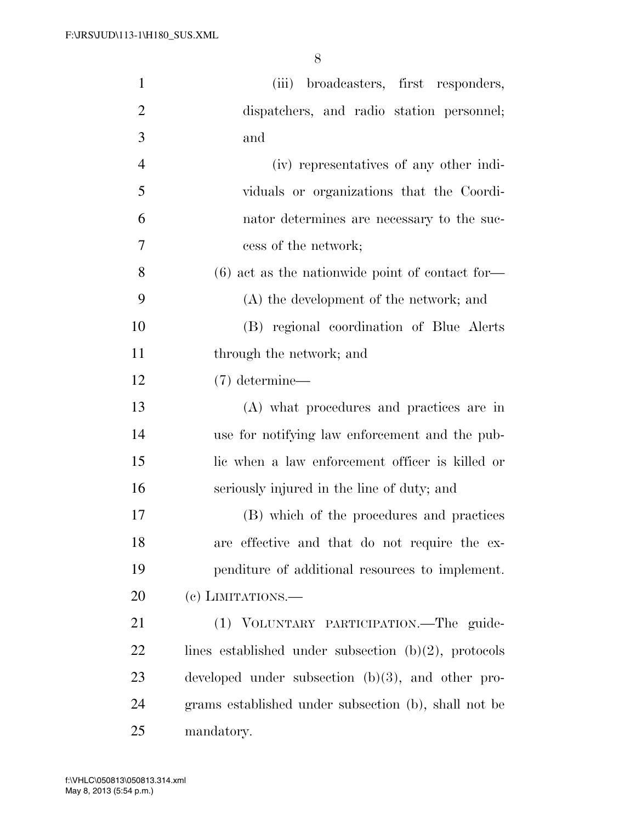| $\mathbf{1}$   | (iii) broadcasters, first responders,                   |
|----------------|---------------------------------------------------------|
| $\overline{2}$ | dispatchers, and radio station personnel;               |
| 3              | and                                                     |
| $\overline{4}$ | (iv) representatives of any other indi-                 |
| 5              | viduals or organizations that the Coordi-               |
| 6              | nator determines are necessary to the suc-              |
| 7              | cess of the network;                                    |
| 8              | $(6)$ act as the nationwide point of contact for-       |
| 9              | (A) the development of the network; and                 |
| 10             | (B) regional coordination of Blue Alerts                |
| 11             | through the network; and                                |
| 12             | $(7)$ determine—                                        |
| 13             | (A) what procedures and practices are in                |
| 14             | use for notifying law enforcement and the pub-          |
| 15             | lic when a law enforcement officer is killed or         |
| 16             | seriously injured in the line of duty; and              |
| 17             | (B) which of the procedures and practices               |
| 18             | are effective and that do not require the ex-           |
| 19             | penditure of additional resources to implement.         |
| 20             | (e) LIMITATIONS.—                                       |
| 21             | (1) VOLUNTARY PARTICIPATION.—The guide-                 |
| 22             | lines established under subsection $(b)(2)$ , protocols |
| 23             | developed under subsection $(b)(3)$ , and other pro-    |
| 24             | grams established under subsection (b), shall not be    |
| 25             | mandatory.                                              |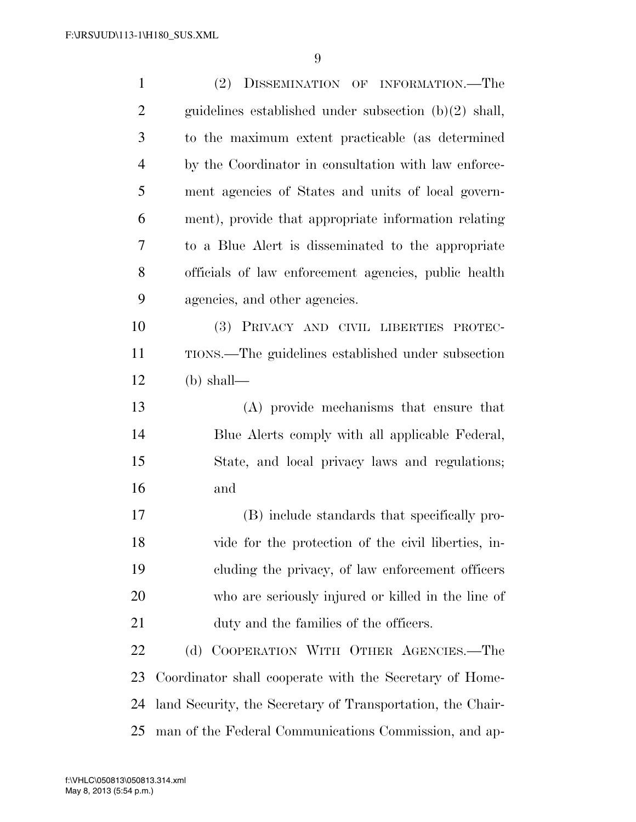| $\mathbf{1}$   | (2) DISSEMINATION OF INFORMATION.—The                      |
|----------------|------------------------------------------------------------|
| $\overline{2}$ | guidelines established under subsection $(b)(2)$ shall,    |
| 3              | to the maximum extent practicable (as determined           |
| $\overline{4}$ | by the Coordinator in consultation with law enforce-       |
| 5              | ment agencies of States and units of local govern-         |
| 6              | ment), provide that appropriate information relating       |
| 7              | to a Blue Alert is disseminated to the appropriate         |
| 8              | officials of law enforcement agencies, public health       |
| 9              | agencies, and other agencies.                              |
| 10             | (3) PRIVACY AND CIVIL LIBERTIES PROTEC-                    |
| 11             | TIONS.—The guidelines established under subsection         |
| 12             | $(b)$ shall—                                               |
| 13             | (A) provide mechanisms that ensure that                    |
| 14             | Blue Alerts comply with all applicable Federal,            |
| 15             | State, and local privacy laws and regulations;             |
| 16             | and                                                        |
| 17             | (B) include standards that specifically pro-               |
| 18             | vide for the protection of the civil liberties, in-        |
| 19             | cluding the privacy, of law enforcement officers           |
| 20             | who are seriously injured or killed in the line of         |
| 21             | duty and the families of the officers.                     |
| 22             | (d) COOPERATION WITH OTHER AGENCIES.-The                   |
| 23             | Coordinator shall cooperate with the Secretary of Home-    |
| 24             | land Security, the Secretary of Transportation, the Chair- |
| 25             | man of the Federal Communications Commission, and ap-      |